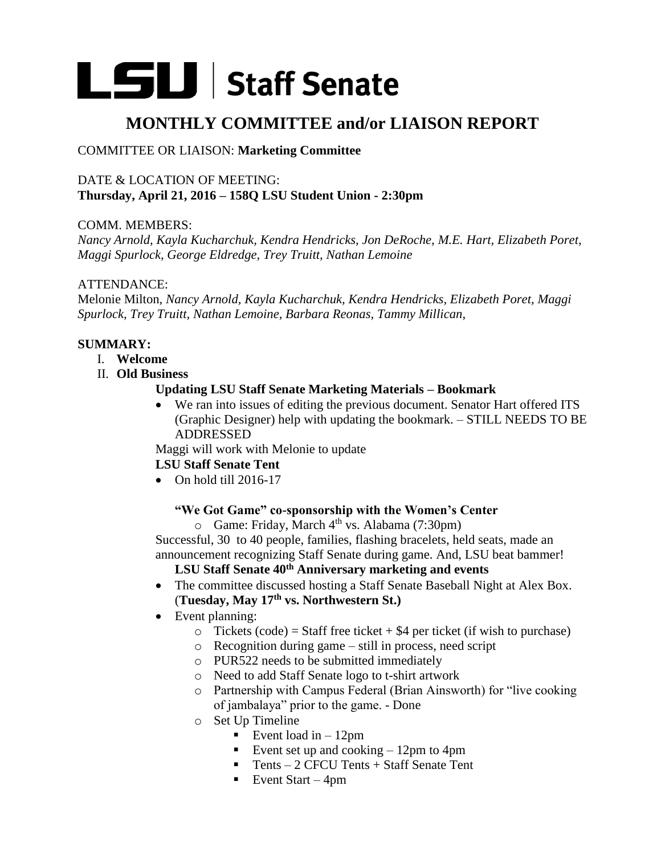# LSU Staff Senate

# **MONTHLY COMMITTEE and/or LIAISON REPORT**

# COMMITTEE OR LIAISON: **Marketing Committee**

#### DATE & LOCATION OF MEETING: **Thursday, April 21, 2016 – 158Q LSU Student Union - 2:30pm**

#### COMM. MEMBERS:

*Nancy Arnold, Kayla Kucharchuk, Kendra Hendricks, Jon DeRoche, M.E. Hart, Elizabeth Poret, Maggi Spurlock, George Eldredge, Trey Truitt, Nathan Lemoine* 

#### ATTENDANCE:

Melonie Milton, *Nancy Arnold, Kayla Kucharchuk, Kendra Hendricks, Elizabeth Poret, Maggi Spurlock, Trey Truitt, Nathan Lemoine, Barbara Reonas, Tammy Millican,* 

# **SUMMARY:**

- I. **Welcome**
- II. **Old Business**

#### **Updating LSU Staff Senate Marketing Materials – Bookmark**

 We ran into issues of editing the previous document. Senator Hart offered ITS (Graphic Designer) help with updating the bookmark. – STILL NEEDS TO BE ADDRESSED

Maggi will work with Melonie to update

# **LSU Staff Senate Tent**

 $\bullet$  On hold till 2016-17

# **"We Got Game" co-sponsorship with the Women's Center**

 $\circ$  Game: Friday, March 4<sup>th</sup> vs. Alabama (7:30pm)

Successful, 30 to 40 people, families, flashing bracelets, held seats, made an announcement recognizing Staff Senate during game. And, LSU beat bammer!

# **LSU Staff Senate 40th Anniversary marketing and events**

- The committee discussed hosting a Staff Senate Baseball Night at Alex Box. (**Tuesday, May 17th vs. Northwestern St.)**
- Event planning:
	- $\circ$  Tickets (code) = Staff free ticket + \$4 per ticket (if wish to purchase)
	- o Recognition during game still in process, need script
	- o PUR522 needs to be submitted immediately
	- o Need to add Staff Senate logo to t-shirt artwork
	- o Partnership with Campus Federal (Brian Ainsworth) for "live cooking of jambalaya" prior to the game. - Done
	- o Set Up Timeline
		- Event load in  $-12$ pm
		- Event set up and cooking  $-12$ pm to 4pm
		- Tents  $-2$  CFCU Tents  $+$  Staff Senate Tent
		- Event Start 4pm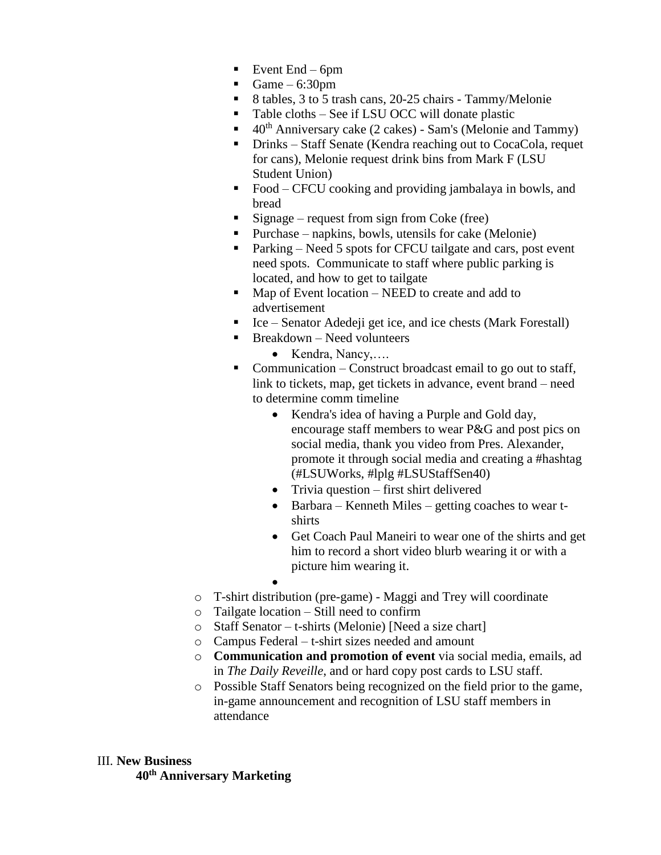- Event End 6pm
- Game  $-6:30$ pm
- 8 tables, 3 to 5 trash cans, 20-25 chairs Tammy/Melonie
- Table cloths See if LSU OCC will donate plastic
- $40<sup>th</sup>$  Anniversary cake (2 cakes) Sam's (Melonie and Tammy)
- Drinks Staff Senate (Kendra reaching out to CocaCola, requet for cans), Melonie request drink bins from Mark F (LSU Student Union)
- Food CFCU cooking and providing jambalaya in bowls, and bread
- Signage request from sign from Coke (free)
- Purchase napkins, bowls, utensils for cake (Melonie)
- Parking Need 5 spots for CFCU tailgate and cars, post event need spots. Communicate to staff where public parking is located, and how to get to tailgate
- $\blacksquare$  Map of Event location NEED to create and add to advertisement
- Ice Senator Adedeji get ice, and ice chests (Mark Forestall)
- $\blacksquare$  Breakdown Need volunteers
	- $\bullet$  Kendra, Nancy,....
- Communication Construct broadcast email to go out to staff, link to tickets, map, get tickets in advance, event brand – need to determine comm timeline
	- Kendra's idea of having a Purple and Gold day, encourage staff members to wear P&G and post pics on social media, thank you video from Pres. Alexander, promote it through social media and creating a #hashtag (#LSUWorks, #lplg #LSUStaffSen40)
	- Trivia question first shirt delivered
	- Barbara Kenneth Miles getting coaches to wear tshirts
	- Get Coach Paul Maneiri to wear one of the shirts and get him to record a short video blurb wearing it or with a picture him wearing it.
	- $\bullet$
- o T-shirt distribution (pre-game) Maggi and Trey will coordinate
- o Tailgate location Still need to confirm
- o Staff Senator t-shirts (Melonie) [Need a size chart]
- o Campus Federal t-shirt sizes needed and amount
- o **Communication and promotion of event** via social media, emails, ad in *The Daily Reveille*, and or hard copy post cards to LSU staff.
- o Possible Staff Senators being recognized on the field prior to the game, in-game announcement and recognition of LSU staff members in attendance

#### III. **New Business 40th Anniversary Marketing**